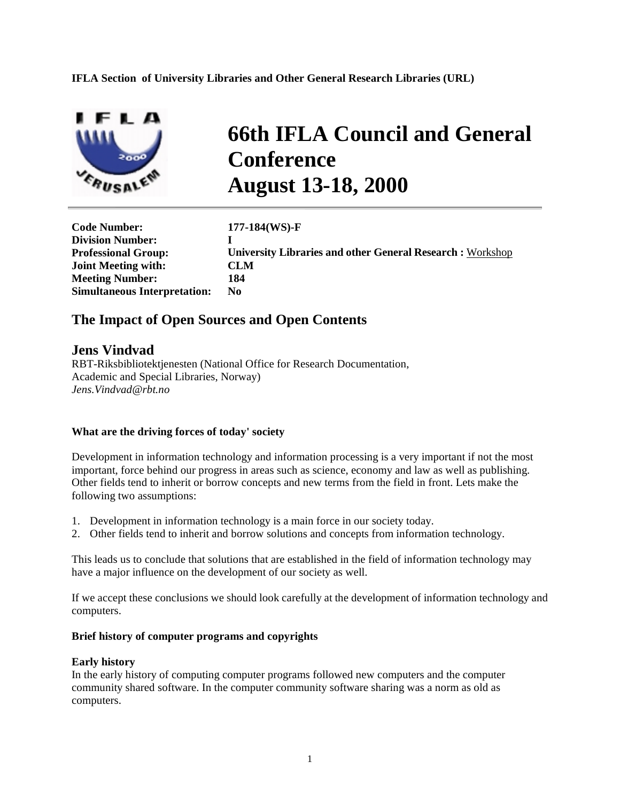**IFLA Section of University Libraries and Other General Research Libraries (URL)** 



# **66th IFLA Council and General Conference August 13-18, 2000**

**Code Number: 177-184(WS)-F Division Number: I Joint Meeting with: CLM Meeting Number: 184 Simultaneous Interpretation: No** 

**Professional Group: University Libraries and other General Research :** Workshop

# **The Impact of Open Sources and Open Contents**

## **Jens Vindvad**

RBT-Riksbibliotektjenesten (National Office for Research Documentation, Academic and Special Libraries, Norway) *Jens.Vindvad@rbt.no*

#### **What are the driving forces of today' society**

Development in information technology and information processing is a very important if not the most important, force behind our progress in areas such as science, economy and law as well as publishing. Other fields tend to inherit or borrow concepts and new terms from the field in front. Lets make the following two assumptions:

- 1. Development in information technology is a main force in our society today.
- 2. Other fields tend to inherit and borrow solutions and concepts from information technology.

This leads us to conclude that solutions that are established in the field of information technology may have a major influence on the development of our society as well.

If we accept these conclusions we should look carefully at the development of information technology and computers.

#### **Brief history of computer programs and copyrights**

#### **Early history**

In the early history of computing computer programs followed new computers and the computer community shared software. In the computer community software sharing was a norm as old as computers.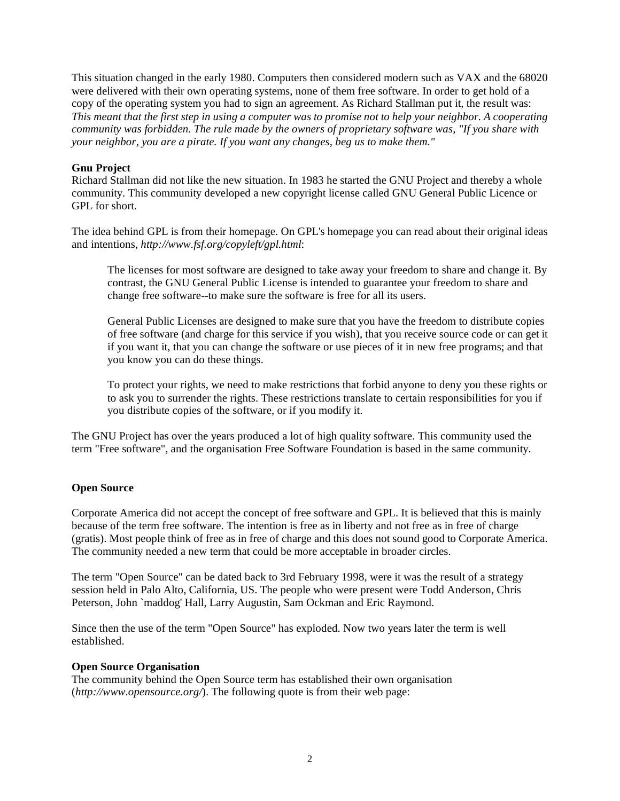This situation changed in the early 1980. Computers then considered modern such as VAX and the 68020 were delivered with their own operating systems, none of them free software. In order to get hold of a copy of the operating system you had to sign an agreement. As Richard Stallman put it, the result was: *This meant that the first step in using a computer was to promise not to help your neighbor. A cooperating community was forbidden. The rule made by the owners of proprietary software was, "If you share with your neighbor, you are a pirate. If you want any changes, beg us to make them."* 

## **Gnu Project**

Richard Stallman did not like the new situation. In 1983 he started the GNU Project and thereby a whole community. This community developed a new copyright license called GNU General Public Licence or GPL for short.

The idea behind GPL is from their homepage. On GPL's homepage you can read about their original ideas and intentions, *http://www.fsf.org/copyleft/gpl.html*:

The licenses for most software are designed to take away your freedom to share and change it. By contrast, the GNU General Public License is intended to guarantee your freedom to share and change free software--to make sure the software is free for all its users.

General Public Licenses are designed to make sure that you have the freedom to distribute copies of free software (and charge for this service if you wish), that you receive source code or can get it if you want it, that you can change the software or use pieces of it in new free programs; and that you know you can do these things.

To protect your rights, we need to make restrictions that forbid anyone to deny you these rights or to ask you to surrender the rights. These restrictions translate to certain responsibilities for you if you distribute copies of the software, or if you modify it.

The GNU Project has over the years produced a lot of high quality software. This community used the term "Free software", and the organisation Free Software Foundation is based in the same community.

#### **Open Source**

Corporate America did not accept the concept of free software and GPL. It is believed that this is mainly because of the term free software. The intention is free as in liberty and not free as in free of charge (gratis). Most people think of free as in free of charge and this does not sound good to Corporate America. The community needed a new term that could be more acceptable in broader circles.

The term "Open Source" can be dated back to 3rd February 1998, were it was the result of a strategy session held in Palo Alto, California, US. The people who were present were Todd Anderson, Chris Peterson, John `maddog' Hall, Larry Augustin, Sam Ockman and Eric Raymond.

Since then the use of the term "Open Source" has exploded. Now two years later the term is well established.

#### **Open Source Organisation**

The community behind the Open Source term has established their own organisation (*http://www.opensource.org/*). The following quote is from their web page: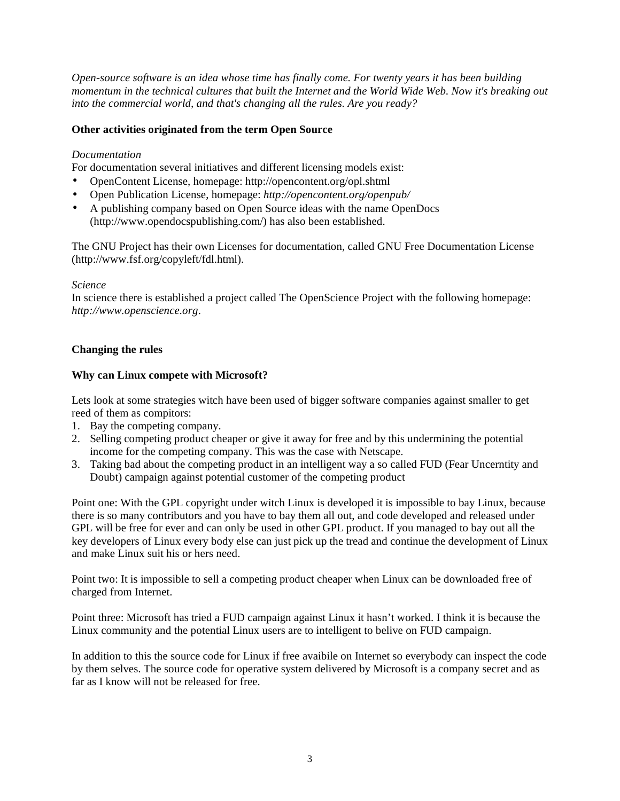*Open-source software is an idea whose time has finally come. For twenty years it has been building momentum in the technical cultures that built the Internet and the World Wide Web. Now it's breaking out into the commercial world, and that's changing all the rules. Are you ready?* 

## **Other activities originated from the term Open Source**

#### *Documentation*

For documentation several initiatives and different licensing models exist:

- OpenContent License, homepage: http://opencontent.org/opl.shtml
- Open Publication License, homepage: *http://opencontent.org/openpub/*
- A publishing company based on Open Source ideas with the name OpenDocs (http://www.opendocspublishing.com/) has also been established.

The GNU Project has their own Licenses for documentation, called GNU Free Documentation License (http://www.fsf.org/copyleft/fdl.html).

#### *Science*

In science there is established a project called The OpenScience Project with the following homepage: *http://www.openscience.org*.

#### **Changing the rules**

## **Why can Linux compete with Microsoft?**

Lets look at some strategies witch have been used of bigger software companies against smaller to get reed of them as compitors:

- 1. Bay the competing company.
- 2. Selling competing product cheaper or give it away for free and by this undermining the potential income for the competing company. This was the case with Netscape.
- 3. Taking bad about the competing product in an intelligent way a so called FUD (Fear Uncerntity and Doubt) campaign against potential customer of the competing product

Point one: With the GPL copyright under witch Linux is developed it is impossible to bay Linux, because there is so many contributors and you have to bay them all out, and code developed and released under GPL will be free for ever and can only be used in other GPL product. If you managed to bay out all the key developers of Linux every body else can just pick up the tread and continue the development of Linux and make Linux suit his or hers need.

Point two: It is impossible to sell a competing product cheaper when Linux can be downloaded free of charged from Internet.

Point three: Microsoft has tried a FUD campaign against Linux it hasn't worked. I think it is because the Linux community and the potential Linux users are to intelligent to belive on FUD campaign.

In addition to this the source code for Linux if free avaibile on Internet so everybody can inspect the code by them selves. The source code for operative system delivered by Microsoft is a company secret and as far as I know will not be released for free.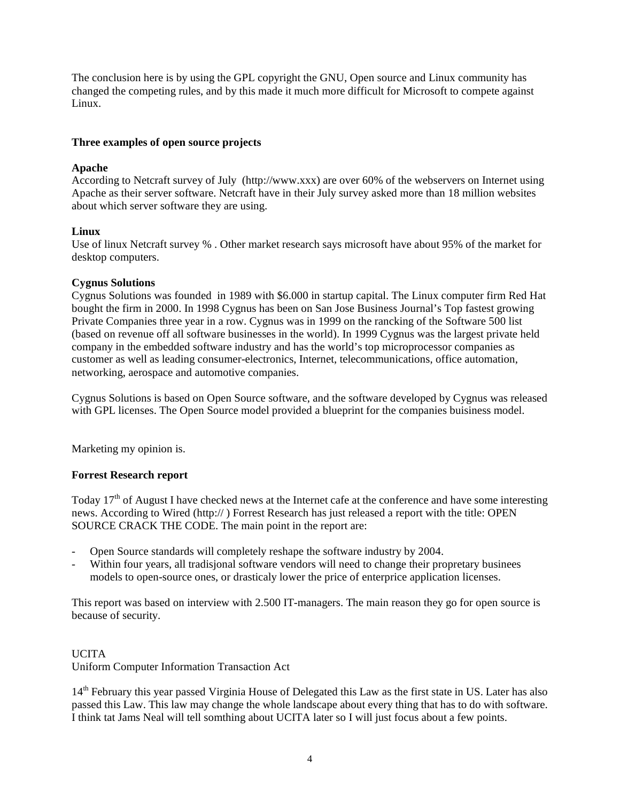The conclusion here is by using the GPL copyright the GNU, Open source and Linux community has changed the competing rules, and by this made it much more difficult for Microsoft to compete against Linux.

## **Three examples of open source projects**

## **Apache**

According to Netcraft survey of July (http://www.xxx) are over 60% of the webservers on Internet using Apache as their server software. Netcraft have in their July survey asked more than 18 million websites about which server software they are using.

## **Linux**

Use of linux Netcraft survey % . Other market research says microsoft have about 95% of the market for desktop computers.

## **Cygnus Solutions**

Cygnus Solutions was founded in 1989 with \$6.000 in startup capital. The Linux computer firm Red Hat bought the firm in 2000. In 1998 Cygnus has been on San Jose Business Journal's Top fastest growing Private Companies three year in a row. Cygnus was in 1999 on the rancking of the Software 500 list (based on revenue off all software businesses in the world). In 1999 Cygnus was the largest private held company in the embedded software industry and has the world's top microprocessor companies as customer as well as leading consumer-electronics, Internet, telecommunications, office automation, networking, aerospace and automotive companies.

Cygnus Solutions is based on Open Source software, and the software developed by Cygnus was released with GPL licenses. The Open Source model provided a blueprint for the companies buisiness model.

Marketing my opinion is.

#### **Forrest Research report**

Today  $17<sup>th</sup>$  of August I have checked news at the Internet cafe at the conference and have some interesting news. According to Wired (http:// ) Forrest Research has just released a report with the title: OPEN SOURCE CRACK THE CODE. The main point in the report are:

- Open Source standards will completely reshape the software industry by 2004.
- Within four years, all tradisjonal software vendors will need to change their propretary businees models to open-source ones, or drasticaly lower the price of enterprice application licenses.

This report was based on interview with 2.500 IT-managers. The main reason they go for open source is because of security.

## UCITA Uniform Computer Information Transaction Act

14<sup>th</sup> February this year passed Virginia House of Delegated this Law as the first state in US. Later has also passed this Law. This law may change the whole landscape about every thing that has to do with software. I think tat Jams Neal will tell somthing about UCITA later so I will just focus about a few points.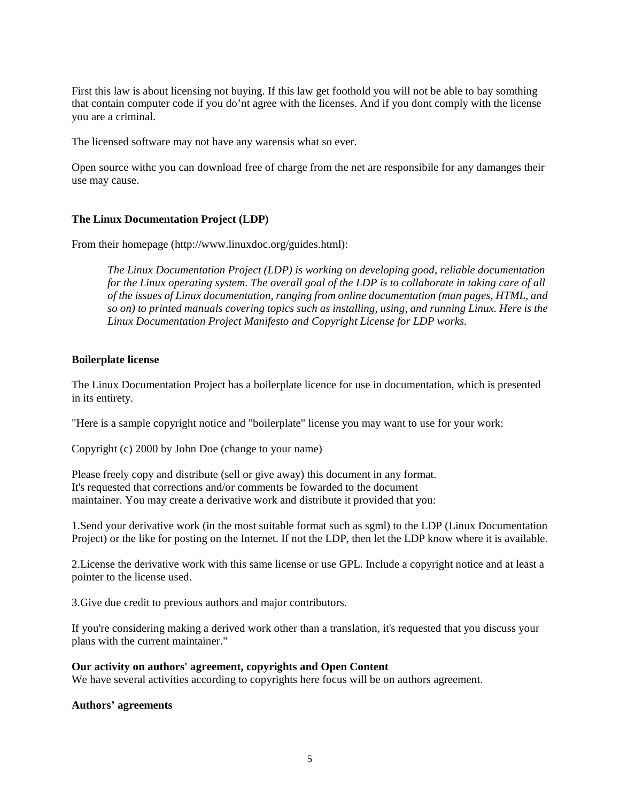First this law is about licensing not buying. If this law get foothold you will not be able to bay somthing that contain computer code if you do'nt agree with the licenses. And if you dont comply with the license you are a criminal.

The licensed software may not have any warensis what so ever.

Open source withc you can download free of charge from the net are responsibile for any damanges their use may cause.

#### **The Linux Documentation Project (LDP)**

From their homepage (http://www.linuxdoc.org/guides.html):

*The Linux Documentation Project (LDP) is working on developing good, reliable documentation for the Linux operating system. The overall goal of the LDP is to collaborate in taking care of all of the issues of Linux documentation, ranging from online documentation (man pages, HTML, and so on) to printed manuals covering topics such as installing, using, and running Linux. Here is the Linux Documentation Project Manifesto and Copyright License for LDP works.* 

#### **Boilerplate license**

The Linux Documentation Project has a boilerplate licence for use in documentation, which is presented in its entirety.

"Here is a sample copyright notice and "boilerplate" license you may want to use for your work:

Copyright (c) 2000 by John Doe (change to your name)

Please freely copy and distribute (sell or give away) this document in any format. It's requested that corrections and/or comments be fowarded to the document maintainer. You may create a derivative work and distribute it provided that you:

1.Send your derivative work (in the most suitable format such as sgml) to the LDP (Linux Documentation Project) or the like for posting on the Internet. If not the LDP, then let the LDP know where it is available.

2.License the derivative work with this same license or use GPL. Include a copyright notice and at least a pointer to the license used.

3.Give due credit to previous authors and major contributors.

If you're considering making a derived work other than a translation, it's requested that you discuss your plans with the current maintainer."

#### **Our activity on authors' agreement, copyrights and Open Content**

We have several activities according to copyrights here focus will be on authors agreement.

#### **Authors' agreements**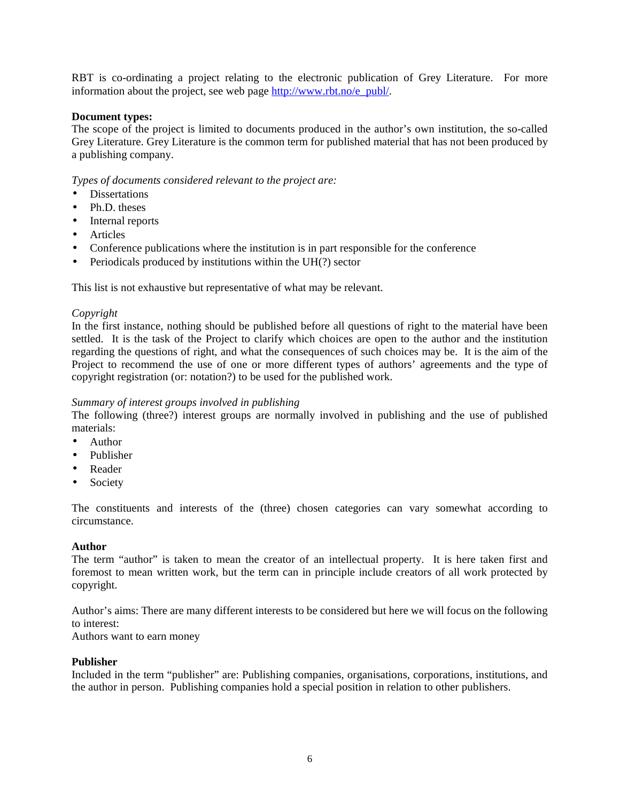RBT is co-ordinating a project relating to the electronic publication of Grey Literature. For more information about the project, see web page http://www.rbt.no/e\_publ/.

#### **Document types:**

The scope of the project is limited to documents produced in the author's own institution, the so-called Grey Literature. Grey Literature is the common term for published material that has not been produced by a publishing company.

*Types of documents considered relevant to the project are:* 

- Dissertations
- Ph.D. theses
- Internal reports
- Articles
- Conference publications where the institution is in part responsible for the conference
- Periodicals produced by institutions within the UH(?) sector

This list is not exhaustive but representative of what may be relevant.

#### *Copyright*

In the first instance, nothing should be published before all questions of right to the material have been settled. It is the task of the Project to clarify which choices are open to the author and the institution regarding the questions of right, and what the consequences of such choices may be. It is the aim of the Project to recommend the use of one or more different types of authors' agreements and the type of copyright registration (or: notation?) to be used for the published work.

#### *Summary of interest groups involved in publishing*

The following (three?) interest groups are normally involved in publishing and the use of published materials:

- Author
- Publisher
- Reader
- Society

The constituents and interests of the (three) chosen categories can vary somewhat according to circumstance.

#### **Author**

The term "author" is taken to mean the creator of an intellectual property. It is here taken first and foremost to mean written work, but the term can in principle include creators of all work protected by copyright.

Author's aims: There are many different interests to be considered but here we will focus on the following to interest:

Authors want to earn money

#### **Publisher**

Included in the term "publisher" are: Publishing companies, organisations, corporations, institutions, and the author in person. Publishing companies hold a special position in relation to other publishers.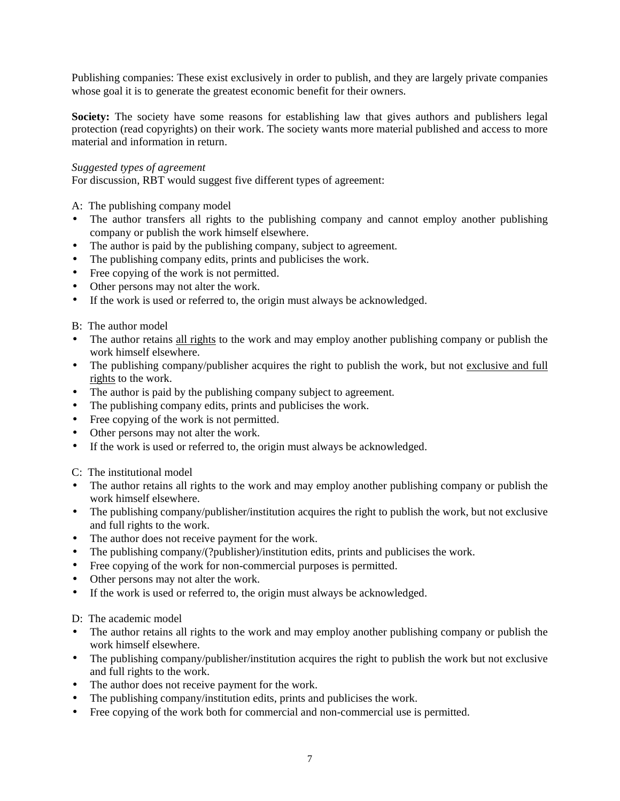Publishing companies: These exist exclusively in order to publish, and they are largely private companies whose goal it is to generate the greatest economic benefit for their owners.

Society: The society have some reasons for establishing law that gives authors and publishers legal protection (read copyrights) on their work. The society wants more material published and access to more material and information in return.

#### *Suggested types of agreement*

For discussion, RBT would suggest five different types of agreement:

A: The publishing company model

- The author transfers all rights to the publishing company and cannot employ another publishing company or publish the work himself elsewhere.
- The author is paid by the publishing company, subject to agreement.
- The publishing company edits, prints and publicises the work.
- Free copying of the work is not permitted.
- Other persons may not alter the work.
- If the work is used or referred to, the origin must always be acknowledged.

B: The author model

- The author retains all rights to the work and may employ another publishing company or publish the work himself elsewhere.
- The publishing company/publisher acquires the right to publish the work, but not exclusive and full rights to the work.
- The author is paid by the publishing company subject to agreement.
- The publishing company edits, prints and publicises the work.
- Free copying of the work is not permitted.
- Other persons may not alter the work.
- If the work is used or referred to, the origin must always be acknowledged.

C: The institutional model

- The author retains all rights to the work and may employ another publishing company or publish the work himself elsewhere.
- The publishing company/publisher/institution acquires the right to publish the work, but not exclusive and full rights to the work.
- The author does not receive payment for the work.
- The publishing company/(?publisher)/institution edits, prints and publicises the work.
- Free copying of the work for non-commercial purposes is permitted.
- Other persons may not alter the work.
- If the work is used or referred to, the origin must always be acknowledged.

D: The academic model

- The author retains all rights to the work and may employ another publishing company or publish the work himself elsewhere.
- The publishing company/publisher/institution acquires the right to publish the work but not exclusive and full rights to the work.
- The author does not receive payment for the work.
- The publishing company/institution edits, prints and publicises the work.
- Free copying of the work both for commercial and non-commercial use is permitted.